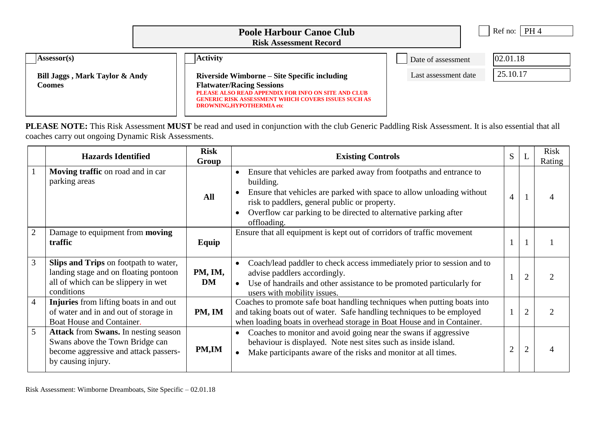|                                          | PH 4<br>Ref no: $\parallel$                                                                                                                                                                                                                                 |                                            |
|------------------------------------------|-------------------------------------------------------------------------------------------------------------------------------------------------------------------------------------------------------------------------------------------------------------|--------------------------------------------|
| Assessor(s)                              | <b>Activity</b><br>Riverside Wimborne – Site Specific including<br><b>Flatwater/Racing Sessions</b><br>PLEASE ALSO READ APPENDIX FOR INFO ON SITE AND CLUB<br><b>GENERIC RISK ASSESSMENT WHICH COVERS ISSUES SUCH AS</b><br><b>DROWNING,HYPOTHERMIA etc</b> | 02.01.18<br>Date of assessment<br>25.10.17 |
| Bill Jaggs, Mark Taylor & Andy<br>Coomes |                                                                                                                                                                                                                                                             | Last assessment date                       |

**PLEASE NOTE:** This Risk Assessment **MUST** be read and used in conjunction with the club Generic Paddling Risk Assessment. It is also essential that all coaches carry out ongoing Dynamic Risk Assessments.

|                | <b>Hazards Identified</b>                                                                                                                             | <b>Risk</b><br>Group | <b>Existing Controls</b>                                                                                                                                                                                                                                                                      | S |                | <b>Risk</b><br>Rating |
|----------------|-------------------------------------------------------------------------------------------------------------------------------------------------------|----------------------|-----------------------------------------------------------------------------------------------------------------------------------------------------------------------------------------------------------------------------------------------------------------------------------------------|---|----------------|-----------------------|
|                | Moving traffic on road and in car<br>parking areas                                                                                                    | All                  | Ensure that vehicles are parked away from footpaths and entrance to<br>building.<br>Ensure that vehicles are parked with space to allow unloading without<br>risk to paddlers, general public or property.<br>Overflow car parking to be directed to alternative parking after<br>offloading. | 4 |                |                       |
| $\overline{2}$ | Damage to equipment from <b>moving</b><br>traffic                                                                                                     | Equip                | Ensure that all equipment is kept out of corridors of traffic movement                                                                                                                                                                                                                        |   |                |                       |
| 3              | Slips and Trips on footpath to water,<br>landing stage and on floating pontoon<br>all of which can be slippery in wet<br>conditions                   | PM, IM,<br>DM        | Coach/lead paddler to check access immediately prior to session and to<br>advise paddlers accordingly.<br>Use of handrails and other assistance to be promoted particularly for<br>$\bullet$<br>users with mobility issues.                                                                   |   |                |                       |
| $\overline{4}$ | Injuries from lifting boats in and out<br>of water and in and out of storage in<br>Boat House and Container.                                          | PM, IM               | Coaches to promote safe boat handling techniques when putting boats into<br>and taking boats out of water. Safe handling techniques to be employed<br>when loading boats in overhead storage in Boat House and in Container.                                                                  |   | $\overline{2}$ |                       |
| $\mathfrak{S}$ | <b>Attack</b> from <b>Swans</b> . In nesting season<br>Swans above the Town Bridge can<br>become aggressive and attack passers-<br>by causing injury. | PM,IM                | Coaches to monitor and avoid going near the swans if aggressive<br>behaviour is displayed. Note nest sites such as inside island.<br>Make participants aware of the risks and monitor at all times.                                                                                           |   |                |                       |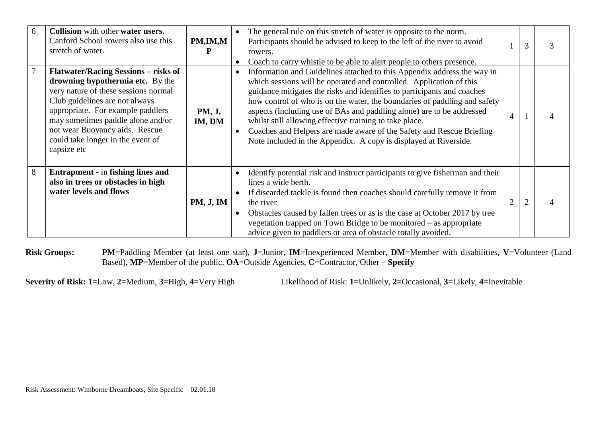| 6 | Collision with other water users.<br>Canford School rowers also use this<br>stretch of water.                                                                                                                                                                                                                             | PM,IM,M          | The general rule on this stretch of water is opposite to the norm.<br>Participants should be advised to keep to the left of the river to avoid<br>rowers.<br>Coach to carry whistle to be able to alert people to others presence.                                                                                                                                                                                                                                                                                                                                                     |                | 3             |  |
|---|---------------------------------------------------------------------------------------------------------------------------------------------------------------------------------------------------------------------------------------------------------------------------------------------------------------------------|------------------|----------------------------------------------------------------------------------------------------------------------------------------------------------------------------------------------------------------------------------------------------------------------------------------------------------------------------------------------------------------------------------------------------------------------------------------------------------------------------------------------------------------------------------------------------------------------------------------|----------------|---------------|--|
| 7 | <b>Flatwater/Racing Sessions – risks of</b><br>drowning hypothermia etc. By the<br>very nature of these sessions normal<br>Club guidelines are not always<br>appropriate. For example paddlers<br>may sometimes paddle alone and/or<br>not wear Buoyancy aids. Rescue<br>could take longer in the event of<br>capsize etc | PM, J,<br>IM, DM | Information and Guidelines attached to this Appendix address the way in<br>which sessions will be operated and controlled. Application of this<br>guidance mitigates the risks and identifies to participants and coaches<br>how control of who is on the water, the boundaries of paddling and safety<br>aspects (including use of BAs and paddling alone) are to be addressed<br>whilst still allowing effective training to take place.<br>Coaches and Helpers are made aware of the Safety and Rescue Briefing<br>Note included in the Appendix. A copy is displayed at Riverside. | 4              |               |  |
| 8 | <b>Entrapment</b> - in fishing lines and<br>also in trees or obstacles in high<br>water levels and flows                                                                                                                                                                                                                  | <b>PM, J, IM</b> | Identify potential risk and instruct participants to give fisherman and their<br>lines a wide berth.<br>If discarded tackle is found then coaches should carefully remove it from<br>the river<br>Obstacles caused by fallen trees or as is the case at October 2017 by tree<br>vegetation trapped on Town Bridge to be monitored – as appropriate<br>advice given to paddlers or area of obstacle totally avoided.                                                                                                                                                                    | $\overline{2}$ | $\mathcal{D}$ |  |

**Risk Groups: PM**=Paddling Member (at least one star), **J**=Junior, **IM**=Inexperienced Member, **DM**=Member with disabilities, **V**=Volunteer (Land Based), **MP**=Member of the public, **OA**=Outside Agencies, **C**=Contractor, Other – **Specify**

**Severity of Risk: 1**=Low, **2**=Medium, **3**=High, **4**=Very High Likelihood of Risk: **1**=Unlikely, **2**=Occasional, **3**=Likely, **4**=Inevitable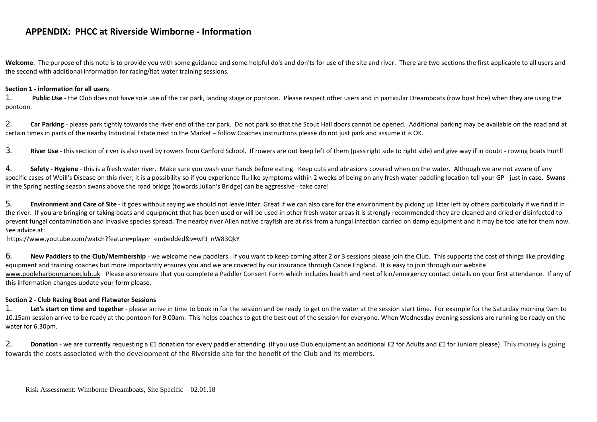Welcome. The purpose of this note is to provide you with some guidance and some helpful do's and don'ts for use of the site and river. There are two sections the first applicable to all users and the second with additional information for racing/flat water training sessions.

#### **Section 1 - information for all users**

**1. Public Use** - the Club does not have sole use of the car park, landing stage or pontoon. Please respect other users and in particular Dreamboats (row boat hire) when they are using the pontoon.

2. **Car Parking** - please park tightly towards the river end of the car park. Do not park so that the Scout Hall doors cannot be opened. Additional parking may be available on the road and at certain times in parts of the nearby Industrial Estate next to the Market – follow Coaches instructions please do not just park and assume it is OK.

**3. River Use** - this section of river is also used by rowers from Canford School. If rowers are out keep left of them (pass right side to right side) and give way if in doubt - rowing boats hurt!!

**4. Safety - Hygiene** - this is a fresh water river. Make sure you wash your hands before eating. Keep cuts and abrasions covered when on the water. Although we are not aware of any specific cases of Weill's Disease on this river; it is a possibility so if you experience flu like symptoms within 2 weeks of being on any fresh water paddling location tell your GP - just in case. Swans in the Spring nesting season swans above the road bridge (towards Julian's Bridge) can be aggressive - take care!

5. **Environment and Care of Site** - it goes without saying we should not leave litter. Great if we can also care for the environment by picking up litter left by others particularly if we find it in the river. If you are bringing or taking boats and equipment that has been used or will be used in other fresh water areas it is strongly recommended they are cleaned and dried or disinfected to prevent fungal contamination and invasive species spread**.** The nearby river Allen native crayfish are at risk from a fungal infection carried on damp equipment and it may be too late for them now. See advice at:

## [https://www.youtube.com/watch?feature=player\\_embedded&v=wFJ\\_nW83QkY](http://webmail.tiscali.co.uk/cp/ps/Mail/ExternalURLProxy?d=tiscali.co.uk&u=billandbarbarajaggs&url=https://www.youtube.com/watch!!feature~~player_embedded%5e%5eamp;v~~wFJ_nW83QkY&urlHash=7.971710570699553E113#_blank)

6. New Paddlers to the Club/Membership - we welcome new paddlers. If you want to keep coming after 2 or 3 sessions please ioin the Club. This supports the cost of things like providing equipment and training coaches but more importantly ensures you and we are covered by our insurance through Canoe England. It is easy to join through our website [www.pooleharbourcanoeclub.uk](http://www.pooleharbourcanoeclub.uk/) Please also ensure that you complete a Paddler Consent Form which includes health and next of kin/emergency contact details on your first attendance. If any of this information changes update your form please.

# **Section 2 - Club Racing Boat and Flatwater Sessions**

1. Let's start on time and together - please arrive in time to book in for the session and be ready to get on the water at the session start time. For example for the Saturday morning 9am to 10.15am session arrive to be ready at the pontoon for 9.00am. This helps coaches to get the best out of the session for everyone. When Wednesday evening sessions are running be ready on the water for 6.30pm.

**2. Donation** - we are currently requesting a £1 donation for every paddler attending. (If you use Club equipment an additional £2 for Adults and £1 for Juniors please). This money is going towards the costs associated with the development of the Riverside site for the benefit of the Club and its members.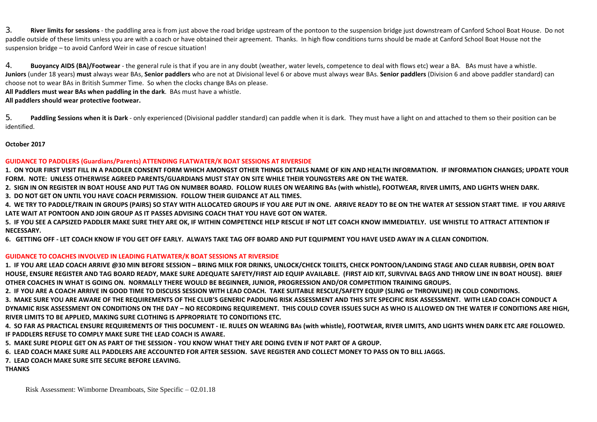**3. River limits for sessions** - the paddling area is from just above the road bridge upstream of the pontoon to the suspension bridge just downstream of Canford School Boat House. Do not paddle outside of these limits unless you are with a coach or have obtained their agreement. Thanks. In high flow conditions turns should be made at Canford School Boat House not the suspension bridge – to avoid Canford Weir in case of rescue situation!

**4. Buoyancy AIDS (BA)/Footwear** - the general rule is that if you are in any doubt (weather, water levels, competence to deal with flows etc) wear a BA. BAs must have a whistle. Juniors (under 18 years) must always wear BAs. Senior paddlers who are not at Divisional level 6 or above must always wear BAs. Senior paddlers (Division 6 and above paddler standard) can choose not to wear BAs in British Summer Time. So when the clocks change BAs on please.

**All Paddlers must wear BAs when paddling in the dark**. BAs must have a whistle.

**All paddlers should wear protective footwear.**

5. Paddling Sessions when it is Dark - only experienced (Divisional paddler standard) can paddle when it is dark. They must have a light on and attached to them so their position can be identified.

**October 2017**

## **GUIDANCE TO PADDLERS (Guardians/Parents) ATTENDING FLATWATER/K BOAT SESSIONS AT RIVERSIDE**

1. ON YOUR FIRST VISIT FILL IN A PADDLER CONSENT FORM WHICH AMONGST OTHER THINGS DETAILS NAME OF KIN AND HEALTH INFORMATION. IF INFORMATION CHANGES; UPDATE YOUR **FORM. NOTE: UNLESS OTHERWISE AGREED PARENTS/GUARDIANS MUST STAY ON SITE WHILE THEIR YOUNGSTERS ARE ON THE WATER.**

2. SIGN IN ON REGISTER IN BOAT HOUSE AND PUT TAG ON NUMBER BOARD. FOLLOW RULES ON WEARING BAS (with whistle), FOOTWEAR, RIVER LIMITS, AND LIGHTS WHEN DARK.

**3. DO NOT GET ON UNTIL YOU HAVE COACH PERMISSION. FOLLOW THEIR GUIDANCE AT ALL TIMES.** 

4. WE TRY TO PADDLE/TRAIN IN GROUPS (PAIRS) SO STAY WITH ALLOCATED GROUPS IF YOU ARE PUT IN ONE. ARRIVE READY TO BE ON THE WATER AT SESSION START TIME. IF YOU ARRIVE **LATE WAIT AT PONTOON AND JOIN GROUP AS IT PASSES ADVISING COACH THAT YOU HAVE GOT ON WATER.**

5. IF YOU SEE A CAPSIZED PADDLER MAKE SURE THEY ARE OK. IF WITHIN COMPETENCE HELP RESCUE IF NOT LET COACH KNOW IMMEDIATELY. USE WHISTLE TO ATTRACT ATTENTION IF **NECESSARY.**

6. GETTING OFF - LET COACH KNOW IF YOU GET OFF EARLY. ALWAYS TAKE TAG OFF BOARD AND PUT EQUIPMENT YOU HAVE USED AWAY IN A CLEAN CONDITION.

# **GUIDANCE TO COACHES INVOLVED IN LEADING FLATWATER/K BOAT SESSIONS AT RIVERSIDE**

1. IF YOU ARE LEAD COACH ARRIVE @30 MIN BEFORE SESSION - BRING MILK FOR DRINKS. UNLOCK/CHECK TOILETS. CHECK PONTOON/LANDING STAGE AND CLEAR RUBBISH. OPEN BOAT HOUSE, ENSURE REGISTER AND TAG BOARD READY, MAKE SURE ADEQUATE SAFETY/FIRST AID EQUIP AVAILABLE. (FIRST AID KIT, SURVIVAL BAGS AND THROW LINE IN BOAT HOUSE). BRIEF OTHER COACHES IN WHAT IS GOING ON. NORMALLY THERE WOULD BE BEGINNER, JUNIOR, PROGRESSION AND/OR COMPETITION TRAINING GROUPS.

2. IF YOU ARE A COACH ARRIVE IN GOOD TIME TO DISCUSS SESSION WITH LEAD COACH. TAKE SUITABLE RESCUE/SAFETY EQUIP (SLING or THROWLINE) IN COLD CONDITIONS.

3. MAKE SURE YOU ARE AWARE OF THE REQUIREMENTS OF THE CLUB'S GENERIC PADDLING RISK ASSESSMENT AND THIS SITE SPECIFIC RISK ASSESSMENT. WITH LEAD COACH CONDUCT A DYNAMIC RISK ASSESSMENT ON CONDITIONS ON THE DAY - NO RECORDING REQUIREMENT. THIS COULD COVER ISSUES SUCH AS WHO IS ALLOWED ON THE WATER IF CONDITIONS ARE HIGH, **RIVER LIMITS TO BE APPLIED, MAKING SURE CLOTHING IS APPROPRIATE TO CONDITIONS ETC.**

4. SO FAR AS PRACTICAL ENSURE REQUIREMENTS OF THIS DOCUMENT - IE. RULES ON WEARING BAS (with whistle), FOOTWEAR, RIVER LIMITS, AND LIGHTS WHEN DARK ETC ARE FOLLOWED. **IF PADDLERS REFUSE TO COMPLY MAKE SURE THE LEAD COACH IS AWARE.**

5. MAKE SURE PEOPLE GET ON AS PART OF THE SESSION - YOU KNOW WHAT THEY ARE DOING EVEN IF NOT PART OF A GROUP.

6. LEAD COACH MAKE SURE ALL PADDLERS ARE ACCOUNTED FOR AFTER SESSION. SAVE REGISTER AND COLLECT MONEY TO PASS ON TO BILL JAGGS.

**7. LEAD COACH MAKE SURE SITE SECURE BEFORE LEAVING.**

**THANKS**